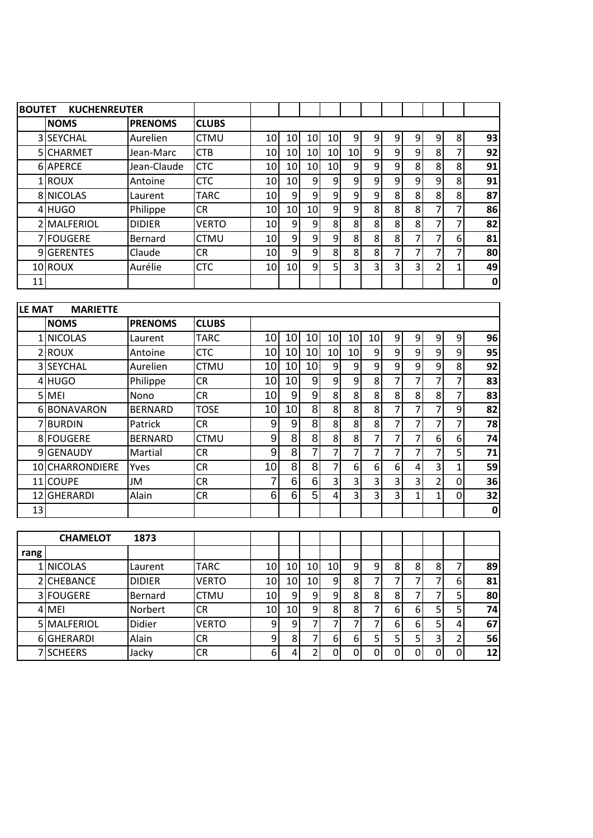| <b>BOUTET</b> | <b>KUCHENREUTER</b> |                |              |                 |    |                 |                 |                 |                |                |                |               |   |             |
|---------------|---------------------|----------------|--------------|-----------------|----|-----------------|-----------------|-----------------|----------------|----------------|----------------|---------------|---|-------------|
|               | <b>NOMS</b>         | <b>PRENOMS</b> | <b>CLUBS</b> |                 |    |                 |                 |                 |                |                |                |               |   |             |
|               | 3 SEYCHAL           | Aurelien       | CTMU         | 10              | 10 | 10              | 10              | $\overline{9}$  | 9              | 9              | 9              | 9             | 8 | 93          |
|               | 5 CHARMET           | Jean-Marc      | CTB          | 10 <sup>1</sup> | 10 | 10 <sup>1</sup> | 10 <sub>l</sub> | 10 <sub>l</sub> | $\overline{9}$ | $\overline{9}$ | 9              | 8             |   | 92          |
|               | 6 APERCE            | Jean-Claude    | <b>CTC</b>   | 10              | 10 | 10 <sup>1</sup> | 10              | $\overline{9}$  | 9              | 9              | 8              | 8             | 8 | 91          |
|               | 1 ROUX              | Antoine        | <b>CTC</b>   | 10 <sup>1</sup> | 10 | 9               | $\overline{9}$  | $\overline{9}$  | $\overline{9}$ | $\overline{9}$ | 9              | 9             | 8 | 91          |
|               | 8 NICOLAS           | Laurent        | <b>TARC</b>  | 10 <sup>1</sup> | 9  | 9               | $\overline{9}$  | $\overline{9}$  | 9              | 8 <sup>1</sup> | 8              | 8             | 8 | 87          |
|               | 4 HUGO              | Philippe       | CR           | 10 <sup>1</sup> | 10 | 10 <sup>1</sup> | $\overline{9}$  | 9 <sub>l</sub>  | 8              | 8 <sup>1</sup> | 8              | ⇁             | 7 | 86          |
|               | 2 MALFERIOL         | <b>DIDIER</b>  | VERTO        | 10 <sup>1</sup> | 9  | 9               | 8               | 8 <sup>1</sup>  | 8              | 8              | 8              | 7             | 7 | 82          |
|               | 7 FOUGERE           | Bernard        | <b>CTMU</b>  | 10 <sub>l</sub> | 9  | 9               | $\overline{9}$  | 8 <sup>1</sup>  | 8 <sup>1</sup> | 8              | 7              | ᄀ             | 6 | 81          |
|               | 9 GERENTES          | Claude         | CR           | 10 <sup>1</sup> | 9  | 9               | 8               | 8 <sup>1</sup>  | 8              | 7              | 7              | 7             | 7 | 80          |
|               | 10 ROUX             | Aurélie        | <b>CTC</b>   | 10 <sup>1</sup> | 10 | $\overline{9}$  | 5 <sup>1</sup>  | 31              | $\overline{3}$ | $\overline{3}$ | $\overline{3}$ | $\mathcal{P}$ |   | 49          |
| 11            |                     |                |              |                 |    |                 |                 |                 |                |                |                |               |   | $\mathbf 0$ |
|               |                     |                |              |                 |    |                 |                 |                 |                |                |                |               |   |             |

| <b>LE MAT</b>   | <b>MARIETTE</b> |                |              |                 |                 |                 |                 |                 |                 |   |                |                |   |             |
|-----------------|-----------------|----------------|--------------|-----------------|-----------------|-----------------|-----------------|-----------------|-----------------|---|----------------|----------------|---|-------------|
|                 | <b>NOMS</b>     | <b>PRENOMS</b> | <b>CLUBS</b> |                 |                 |                 |                 |                 |                 |   |                |                |   |             |
|                 | 1 NICOLAS       | Laurent        | <b>TARC</b>  | 10              | 10              | 10              | 10              | 10              | 10 <sup>1</sup> | 9 | 9              | 9              | 9 | 96          |
|                 | 2ROUX           | Antoine        | <b>CTC</b>   | 10              | 10              | 10 <sup>1</sup> | 10 <sup>1</sup> | 10 <sub>l</sub> | $\overline{9}$  | 9 | 9              | 9              | 9 | 95          |
|                 | 3 SEYCHAL       | Aurelien       | <b>CTMU</b>  | 10              | 10 <sup>1</sup> | 10 <sub>l</sub> | $\overline{9}$  | 9               | $\overline{9}$  | 9 | 9              | $\overline{9}$ | 8 | 92          |
|                 | 4 HUGO          | Philippe       | <b>CR</b>    | 10              | 10              | $\overline{9}$  | $\overline{9}$  | 9               | 8               |   | 7              | 7              |   | 83          |
|                 | 5 MEI           | Nono           | <b>CR</b>    | 10 <sup>1</sup> | $\overline{9}$  | $\overline{9}$  | 8 <sup>1</sup>  | 8               | 8               | 8 | 8              | 8 <sup>l</sup> | 7 | 83          |
|                 | 6 BONAVARON     | <b>BERNARD</b> | <b>TOSE</b>  | 10              | 10 <sup>1</sup> | 8               | 8 <sup>1</sup>  | 8               | 8               |   | 7              | 7              | 9 | 82          |
|                 | 7BURDIN         | Patrick        | CR           | 9               | $\vert 9 \vert$ | 8 <sup>1</sup>  | 8 <sup>1</sup>  | 8               | 8               | 7 | 7              | 7              | 7 | 78          |
|                 | 8 FOUGERE       | <b>BERNARD</b> | <b>CTMU</b>  | 9               | 8               | 8               | 8 <sup>1</sup>  | 8               | 7               |   | 7              | 6 <sup>1</sup> | 6 | 74          |
|                 | 9 GENAUDY       | Martial        | <b>CR</b>    | 9               | 8               | $\overline{7}$  | 7               | 7               |                 |   | 7              | 7              | 5 | 71          |
|                 | 10 CHARRONDIERE | Yves           | CR           | 10              | 8               | 8 <sup>°</sup>  | 7               | 6               | 6               | 6 | 4              | 3              | 1 | 59          |
|                 | 11 COUPE        | JM             | <b>CR</b>    | 7               | $6 \mid$        | $6 \mid$        | $\overline{3}$  | 3               | 3               | 3 | $\overline{3}$ | 2              | 0 | 36          |
| 12              | <b>GHERARDI</b> | Alain          | CR           | 6               | 6               | 5 <sup>1</sup>  | $\vert$         | $\overline{3}$  | 3               | 3 |                |                | 0 | 32          |
| 13 <sub>l</sub> |                 |                |              |                 |                 |                 |                 |                 |                 |   |                |                |   | $\mathbf 0$ |

|      | <b>CHAMELOT</b> | 1873           |              |                 |     |                |    |   |    |   |   |    |   |    |
|------|-----------------|----------------|--------------|-----------------|-----|----------------|----|---|----|---|---|----|---|----|
| rang |                 |                |              |                 |     |                |    |   |    |   |   |    |   |    |
|      | <b>NICOLAS</b>  | Laurent        | <b>TARC</b>  | 10I             | 10I | 10I            | 10 | q | 9  | 8 | 8 | 8  |   | 89 |
|      | 2 CHEBANCE      | <b>DIDIER</b>  | <b>VERTO</b> | 10I             | 10  | 10I            | 9  | 8 |    |   |   |    | 6 | 81 |
|      | 3 FOUGERE       | <b>Bernard</b> | <b>CTMU</b>  | 10              | a   | 9              | Q  | 8 | 8  | 8 |   |    |   | 80 |
|      | 4 MEI           | Norbert        | <b>CR</b>    | 10 <sub>l</sub> | 10I | $\overline{9}$ | 8  | 8 |    | 6 | 6 |    |   | 74 |
|      | 5 MALFERIOL     | Didier         | <b>VERTO</b> | 91              |     |                |    |   |    | 6 | 6 |    | 4 | 67 |
|      | 6GHERARDI       | Alain          | <b>CR</b>    | 91              | 8   |                | 6  | 6 | 51 |   |   | 3١ |   | 56 |
|      | 7 SCHEERS       | Jacky          | <b>CR</b>    | 6               |     |                |    |   |    |   |   |    | 0 | 12 |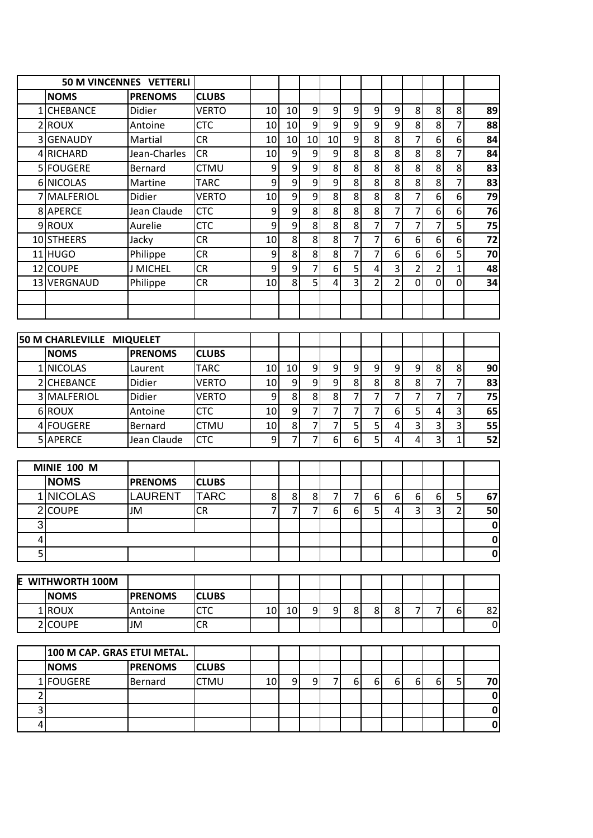|   |                             | <b>50 M VINCENNES VETTERLI</b> |              |                |    |                  |                           |                  |                  |                  |                         |                         |                |                 |
|---|-----------------------------|--------------------------------|--------------|----------------|----|------------------|---------------------------|------------------|------------------|------------------|-------------------------|-------------------------|----------------|-----------------|
|   | <b>NOMS</b>                 | <b>PRENOMS</b>                 | <b>CLUBS</b> |                |    |                  |                           |                  |                  |                  |                         |                         |                |                 |
|   | 1 CHEBANCE                  | Didier                         | <b>VERTO</b> | 10             | 10 | $\overline{9}$   | $\boldsymbol{9}$          | $\boldsymbol{9}$ | $\boldsymbol{9}$ | 9                | $\bf 8$                 | 8                       | 8              | 89              |
|   | 2ROUX                       | Antoine                        | <b>CTC</b>   | 10             | 10 | $\mathsf{g}$     | $\overline{9}$            | $\mathsf{g}$     | 9                | 9                | 8                       | 8                       | $\overline{7}$ | 88              |
|   | 3 GENAUDY                   | Martial                        | <b>CR</b>    | 10             | 10 | 10               | 10                        | 9                | 8                | 8                | 7                       | 6                       | 6              | 84              |
|   | 4 RICHARD                   | Jean-Charles                   | <b>CR</b>    | 10             | 9  | $\boldsymbol{9}$ | 9                         | 8 <sup>1</sup>   | 8                | 8                | 8                       | 8                       | $\overline{7}$ | 84              |
|   | 5 FOUGERE                   | Bernard                        | <b>CTMU</b>  | 9              | 9  | 9                | $\overline{\overline{8}}$ | 8                | 8                | 8                | 8                       | 8                       | 8              | 83              |
|   | 6 NICOLAS                   | Martine                        | <b>TARC</b>  | 9              | 9  | 9                | 9                         | 8                | 8                | 8                | 8                       | 8                       | $\overline{7}$ | 83              |
|   | 7 MALFERIOL                 | <b>Didier</b>                  | <b>VERTO</b> | 10             | 9  | $\mathsf{g}$     | 8                         | 8                | 8                | 8                | 7                       | $\boldsymbol{6}$        | 6              | 79              |
|   | 8 APERCE                    | Jean Claude                    | <b>CTC</b>   | 9              | 9  | 8 <sup>1</sup>   | 8                         | 8                | 8                | $\overline{7}$   | $\overline{7}$          | $\boldsymbol{6}$        | 6              | 76              |
|   | 9ROUX                       | Aurelie                        | <b>CTC</b>   | 9              | 9  | 8 <sup>1</sup>   | $\overline{8}$            | 8                | $\overline{7}$   | $\overline{7}$   | 7                       | $\overline{7}$          | 5              | $\overline{75}$ |
|   | 10 STHEERS                  | Jacky                          | <b>CR</b>    | 10             | 8  | $\overline{8}$   | $\overline{8}$            | $\overline{7}$   | $\overline{7}$   | $6 \overline{6}$ | 6                       | 6                       | $\overline{6}$ | $\overline{72}$ |
|   | 11 HUGO                     | Philippe                       | <b>CR</b>    | 9              | 8  | 8 <sup>1</sup>   | $\mathbf{8}$              | $\overline{7}$   | $\overline{7}$   | $6 \overline{6}$ | 6                       | 6                       | 5              | 70              |
|   | 12 COUPE                    | <b>J MICHEL</b>                | <b>CR</b>    | 9              | 9  | $\overline{7}$   | $6 \mid$                  | $\overline{5}$   | 4                | $\overline{3}$   | $\overline{2}$          | $\overline{2}$          | $\mathbf{1}$   | 48              |
|   | 13 VERGNAUD                 | Philippe                       | <b>CR</b>    | 10             | 8  | 5 <sup>2</sup>   | 4                         | $\overline{3}$   | $\overline{2}$   | $\overline{2}$   | 0                       | 0                       | 0              | 34              |
|   |                             |                                |              |                |    |                  |                           |                  |                  |                  |                         |                         |                |                 |
|   |                             |                                |              |                |    |                  |                           |                  |                  |                  |                         |                         |                |                 |
|   | 50 M CHARLEVILLE MIQUELET   |                                |              |                |    |                  |                           |                  |                  |                  |                         |                         |                |                 |
|   | <b>NOMS</b>                 | <b>PRENOMS</b>                 | <b>CLUBS</b> |                |    |                  |                           |                  |                  |                  |                         |                         |                |                 |
|   | 1 NICOLAS                   | Laurent                        | <b>TARC</b>  | 10             | 10 | 9                | $\boldsymbol{9}$          | 9                | $\boldsymbol{9}$ | $\overline{9}$   | 9                       | 8                       | 8              | 90              |
|   | 2 CHEBANCE                  | Didier                         | <b>VERTO</b> | 10             | 9  | $\overline{9}$   | $\overline{9}$            | 8                | 8                | 8                | 8                       | $\overline{7}$          | $\overline{7}$ | 83              |
|   | 3 MALFERIOL                 | Didier                         | <b>VERTO</b> | 9              | 8  | 8 <sup>1</sup>   | $\mathbf{8}$              | $\overline{7}$   | $\overline{7}$   | $\overline{7}$   | 7                       | $\overline{7}$          | $\overline{7}$ | 75              |
|   | 6ROUX                       | Antoine                        | <b>CTC</b>   | 10             | 9  | 7                | $\overline{7}$            | 7                | 7                | $6 \overline{6}$ | 5                       | 4                       | 3              | 65              |
|   | 4 FOUGERE                   | Bernard                        | <b>CTMU</b>  | 10             | 8  | 7                | $\overline{7}$            | 5                | 5                | 4                | 3                       | $\overline{\mathbf{3}}$ | 3              | 55              |
|   | 5 APERCE                    | Jean Claude                    | <b>CTC</b>   | 9              | 7  | 7                | 6                         | $6 \overline{6}$ | $\overline{5}$   | $\overline{4}$   | 4                       | 3                       | $\mathbf{1}$   | 52              |
|   |                             |                                |              |                |    |                  |                           |                  |                  |                  |                         |                         |                |                 |
|   | <b>MINIE 100 M</b>          |                                |              |                |    |                  |                           |                  |                  |                  |                         |                         |                |                 |
|   | <b>NOMS</b>                 | <b>PRENOMS</b>                 | <b>CLUBS</b> |                |    |                  |                           |                  |                  |                  |                         |                         |                |                 |
|   | 1 NICOLAS                   | <b>LAURENT</b>                 | <b>TARC</b>  | 8              | 8  | $\bf 8$          | 7                         | $\overline{7}$   | 6                | 6                | 6                       | $\boldsymbol{6}$        | 5              | 67              |
|   | 2 COUPE                     | <b>JM</b>                      | <b>CR</b>    | $\overline{7}$ | 7  | $\overline{7}$   | $\sigma$                  | $6 \mid$         | $\overline{5}$   | $\overline{4}$   | $\overline{\mathbf{3}}$ | $\overline{3}$          | $\overline{2}$ | 50              |
| 3 |                             |                                |              |                |    |                  |                           |                  |                  |                  |                         |                         |                | 0               |
| 4 |                             |                                |              |                |    |                  |                           |                  |                  |                  |                         |                         |                | $\pmb{0}$       |
| 5 |                             |                                |              |                |    |                  |                           |                  |                  |                  |                         |                         |                | $\mathbf 0$     |
| E | WITHWORTH 100M              |                                |              |                |    |                  |                           |                  |                  |                  |                         |                         |                |                 |
|   | <b>NOMS</b>                 | <b>PRENOMS</b>                 | <b>CLUBS</b> |                |    |                  |                           |                  |                  |                  |                         |                         |                |                 |
|   | $1$ ROUX                    | Antoine                        | <b>CTC</b>   | 10             | 10 | 9                | 9                         | 8 <sup>1</sup>   | 8                | 8                | 7                       | $\overline{7}$          | 6              | 82              |
|   | 2 COUPE                     | JM                             | CR           |                |    |                  |                           |                  |                  |                  |                         |                         |                | $\pmb{0}$       |
|   |                             |                                |              |                |    |                  |                           |                  |                  |                  |                         |                         |                |                 |
|   | 100 M CAP. GRAS ETUI METAL. |                                |              |                |    |                  |                           |                  |                  |                  |                         |                         |                |                 |
|   | <b>NOMS</b>                 | <b>PRENOMS</b>                 | <b>CLUBS</b> |                |    |                  |                           |                  |                  |                  |                         |                         |                |                 |
| 1 | <b>FOUGERE</b>              | Bernard                        | CTMU         | 10             | 9  | 9                | 7                         | 6 <sup>1</sup>   | 6                | 6                | 6                       | 6                       | 5              | 70              |
| 2 |                             |                                |              |                |    |                  |                           |                  |                  |                  |                         |                         |                | $\pmb{0}$       |
| 3 |                             |                                |              |                |    |                  |                           |                  |                  |                  |                         |                         |                | $\mathbf 0$     |
| 4 |                             |                                |              |                |    |                  |                           |                  |                  |                  |                         |                         |                | $\pmb{0}$       |